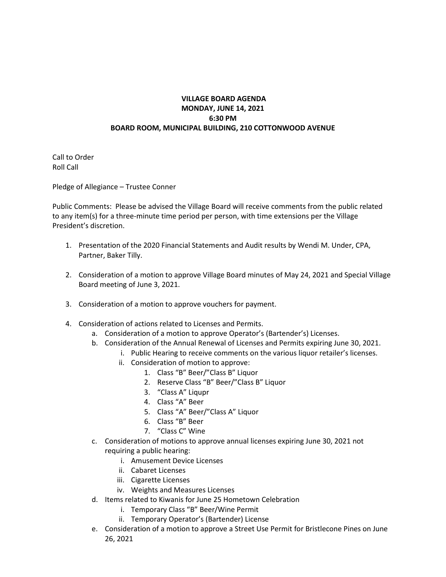## **VILLAGE BOARD AGENDA MONDAY, JUNE 14, 2021 6:30 PM BOARD ROOM, MUNICIPAL BUILDING, 210 COTTONWOOD AVENUE**

Call to Order Roll Call

Pledge of Allegiance – Trustee Conner

Public Comments: Please be advised the Village Board will receive comments from the public related to any item(s) for a three-minute time period per person, with time extensions per the Village President's discretion.

- 1. Presentation of the 2020 Financial Statements and Audit results by Wendi M. Under, CPA, Partner, Baker Tilly.
- 2. Consideration of a motion to approve Village Board minutes of May 24, 2021 and Special Village Board meeting of June 3, 2021.
- 3. Consideration of a motion to approve vouchers for payment.
- 4. Consideration of actions related to Licenses and Permits.
	- a. Consideration of a motion to approve Operator's (Bartender's) Licenses.
	- b. Consideration of the Annual Renewal of Licenses and Permits expiring June 30, 2021.
		- i. Public Hearing to receive comments on the various liquor retailer's licenses.
			- ii. Consideration of motion to approve:
				- 1. Class "B" Beer/"Class B" Liquor
				- 2. Reserve Class "B" Beer/"Class B" Liquor
				- 3. "Class A" Liqupr
				- 4. Class "A" Beer
				- 5. Class "A" Beer/"Class A" Liquor
				- 6. Class "B" Beer
				- 7. "Class C" Wine
	- c. Consideration of motions to approve annual licenses expiring June 30, 2021 not requiring a public hearing:
		- i. Amusement Device Licenses
		- ii. Cabaret Licenses
		- iii. Cigarette Licenses
		- iv. Weights and Measures Licenses
	- d. Items related to Kiwanis for June 25 Hometown Celebration
		- i. Temporary Class "B" Beer/Wine Permit
		- ii. Temporary Operator's (Bartender) License
	- e. Consideration of a motion to approve a Street Use Permit for Bristlecone Pines on June 26, 2021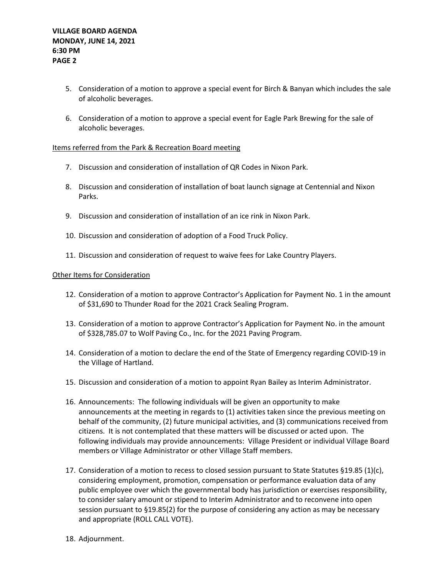- 5. Consideration of a motion to approve a special event for Birch & Banyan which includes the sale of alcoholic beverages.
- 6. Consideration of a motion to approve a special event for Eagle Park Brewing for the sale of alcoholic beverages.

## Items referred from the Park & Recreation Board meeting

- 7. Discussion and consideration of installation of QR Codes in Nixon Park.
- 8. Discussion and consideration of installation of boat launch signage at Centennial and Nixon Parks.
- 9. Discussion and consideration of installation of an ice rink in Nixon Park.
- 10. Discussion and consideration of adoption of a Food Truck Policy.
- 11. Discussion and consideration of request to waive fees for Lake Country Players.

## Other Items for Consideration

- 12. Consideration of a motion to approve Contractor's Application for Payment No. 1 in the amount of \$31,690 to Thunder Road for the 2021 Crack Sealing Program.
- 13. Consideration of a motion to approve Contractor's Application for Payment No. in the amount of \$328,785.07 to Wolf Paving Co., Inc. for the 2021 Paving Program.
- 14. Consideration of a motion to declare the end of the State of Emergency regarding COVID-19 in the Village of Hartland.
- 15. Discussion and consideration of a motion to appoint Ryan Bailey as Interim Administrator.
- 16. Announcements: The following individuals will be given an opportunity to make announcements at the meeting in regards to (1) activities taken since the previous meeting on behalf of the community, (2) future municipal activities, and (3) communications received from citizens. It is not contemplated that these matters will be discussed or acted upon. The following individuals may provide announcements: Village President or individual Village Board members or Village Administrator or other Village Staff members.
- 17. Consideration of a motion to recess to closed session pursuant to State Statutes §19.85 (1)(c), considering employment, promotion, compensation or performance evaluation data of any public employee over which the governmental body has jurisdiction or exercises responsibility, to consider salary amount or stipend to Interim Administrator and to reconvene into open session pursuant to §19.85(2) for the purpose of considering any action as may be necessary and appropriate (ROLL CALL VOTE).
- 18. Adjournment.